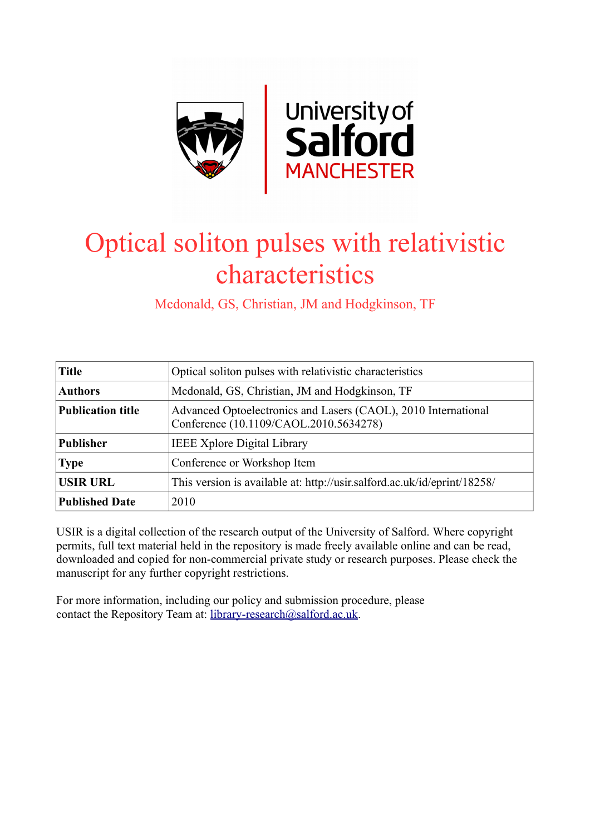

# Optical soliton pulses with relativistic characteristics

Mcdonald, GS, Christian, JM and Hodgkinson, TF

| <b>Title</b>             | Optical soliton pulses with relativistic characteristics                                                 |
|--------------------------|----------------------------------------------------------------------------------------------------------|
| <b>Authors</b>           | Mcdonald, GS, Christian, JM and Hodgkinson, TF                                                           |
| <b>Publication title</b> | Advanced Optoelectronics and Lasers (CAOL), 2010 International<br>Conference (10.1109/CAOL.2010.5634278) |
| <b>Publisher</b>         | <b>IEEE Xplore Digital Library</b>                                                                       |
| <b>Type</b>              | Conference or Workshop Item                                                                              |
| <b>USIR URL</b>          | This version is available at: http://usir.salford.ac.uk/id/eprint/18258/                                 |
| <b>Published Date</b>    | 2010                                                                                                     |

USIR is a digital collection of the research output of the University of Salford. Where copyright permits, full text material held in the repository is made freely available online and can be read, downloaded and copied for non-commercial private study or research purposes. Please check the manuscript for any further copyright restrictions.

For more information, including our policy and submission procedure, please contact the Repository Team at: [library-research@salford.ac.uk.](mailto:library-research@salford.ac.uk)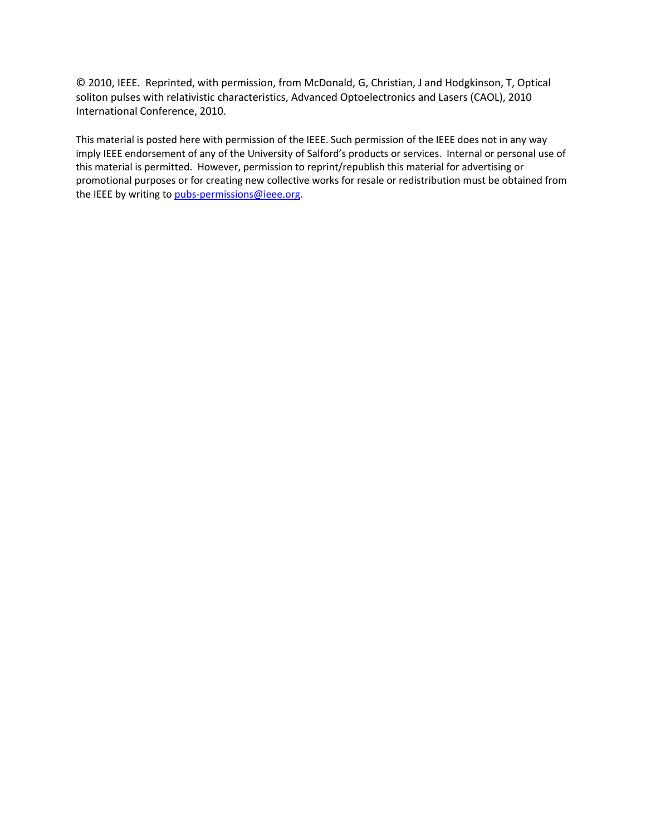© 2010, IEEE. Reprinted, with permission, from McDonald, G, Christian, J and Hodgkinson, T, Optical soliton pulses with relativistic characteristics, Advanced Optoelectronics and Lasers (CAOL), 2010 International Conference, 2010.

This material is posted here with permission of the IEEE. Such permission of the IEEE does not in any way imply IEEE endorsement of any of the University of Salford's products or services. Internal or personal use of this material is permitted. However, permission to reprint/republish this material for advertising or promotional purposes or for creating new collective works for resale or redistribution must be obtained from the IEEE by writing t[o pubs-permissions@ieee.org.](mailto:pubs-permissions@ieee.org)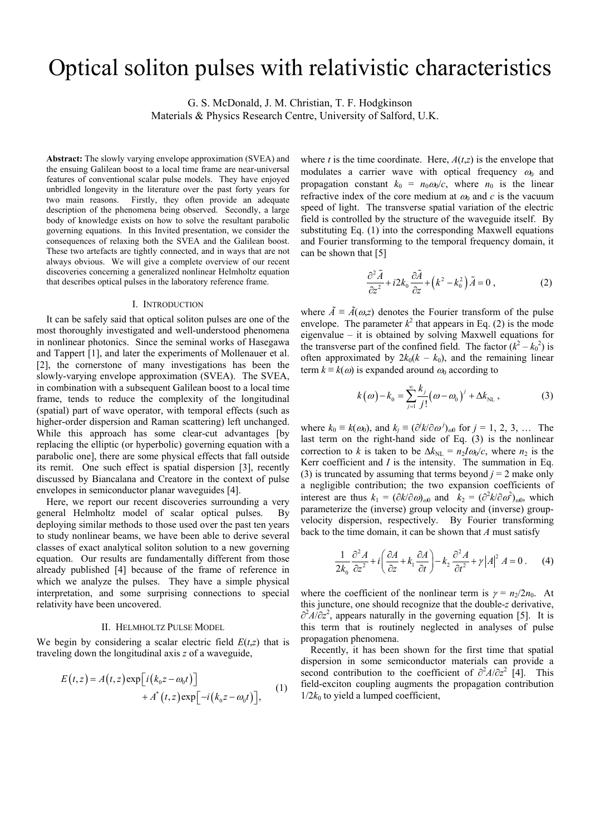# Optical soliton pulses with relativistic characteristics

G. S. McDonald, J. M. Christian, T. F. Hodgkinson

Materials & Physics Research Centre, University of Salford, U.K.

**Abstract:** The slowly varying envelope approximation (SVEA) and the ensuing Galilean boost to a local time frame are near-universal features of conventional scalar pulse models. They have enjoyed unbridled longevity in the literature over the past forty years for two main reasons. Firstly, they often provide an adequate description of the phenomena being observed. Secondly, a large body of knowledge exists on how to solve the resultant parabolic governing equations. In this Invited presentation, we consider the consequences of relaxing both the SVEA and the Galilean boost. These two artefacts are tightly connected, and in ways that are not always obvious. We will give a complete overview of our recent discoveries concerning a generalized nonlinear Helmholtz equation that describes optical pulses in the laboratory reference frame.

#### I. INTRODUCTION

It can be safely said that optical soliton pulses are one of the most thoroughly investigated and well-understood phenomena in nonlinear photonics. Since the seminal works of Hasegawa and Tappert [1], and later the experiments of Mollenauer et al. [2], the cornerstone of many investigations has been the slowly-varying envelope approximation (SVEA). The SVEA, in combination with a subsequent Galilean boost to a local time frame, tends to reduce the complexity of the longitudinal (spatial) part of wave operator, with temporal effects (such as higher-order dispersion and Raman scattering) left unchanged. While this approach has some clear-cut advantages [by replacing the elliptic (or hyperbolic) governing equation with a parabolic one], there are some physical effects that fall outside its remit. One such effect is spatial dispersion [3], recently discussed by Biancalana and Creatore in the context of pulse envelopes in semiconductor planar waveguides [4].

Here, we report our recent discoveries surrounding a very general Helmholtz model of scalar optical pulses. By deploying similar methods to those used over the past ten years to study nonlinear beams, we have been able to derive several classes of exact analytical soliton solution to a new governing equation. Our results are fundamentally different from those already published [4] because of the frame of reference in which we analyze the pulses. They have a simple physical interpretation, and some surprising connections to special relativity have been uncovered.

### II. HELMHOLTZ PULSE MODEL

We begin by considering a scalar electric field  $E(t,z)$  that is traveling down the longitudinal axis *z* of a waveguide,

$$
E(t,z) = A(t,z) \exp[i(k_0z - \omega_0t)] + A^*(t,z) \exp[-i(k_0z - \omega_0t)],
$$
 (1)

where *t* is the time coordinate. Here,  $A(t,z)$  is the envelope that modulates a carrier wave with optical frequency  $\omega_0$  and propagation constant  $k_0 = n_0 \omega_0/c$ , where  $n_0$  is the linear refractive index of the core medium at  $\omega_0$  and  $c$  is the vacuum speed of light. The transverse spatial variation of the electric field is controlled by the structure of the waveguide itself. By substituting Eq. (1) into the corresponding Maxwell equations and Fourier transforming to the temporal frequency domain, it can be shown that [5]

$$
\frac{\partial^2 \tilde{A}}{\partial z^2} + i2k_0 \frac{\partial \tilde{A}}{\partial z} + \left(k^2 - k_0^2\right) \tilde{A} = 0 ,
$$
 (2)

where  $\tilde{A} = \tilde{A}(\omega, z)$  denotes the Fourier transform of the pulse envelope. The parameter  $k^2$  that appears in Eq. (2) is the mode eigenvalue – it is obtained by solving Maxwell equations for the transverse part of the confined field. The factor  $(k^2 - k_0^2)$  is often approximated by  $2k_0(k - k_0)$ , and the remaining linear term  $k \equiv k(\omega)$  is expanded around  $\omega_0$  according to

$$
k(\omega) - k_0 = \sum_{j=1}^{\infty} \frac{k_j}{j!} (\omega - \omega_0)^j + \Delta k_{NL}, \qquad (3)
$$

where  $k_0 \equiv k(\omega_0)$ , and  $k_j \equiv (\partial^j k/\partial \omega^j)_{\omega 0}$  for  $j = 1, 2, 3, ...$  The last term on the right-hand side of Eq. (3) is the nonlinear correction to *k* is taken to be  $\Delta k_{\text{NL}} = n_2 I \omega_0/c$ , where  $n_2$  is the Kerr coefficient and *I* is the intensity. The summation in Eq. (3) is truncated by assuming that terms beyond  $j = 2$  make only a negligible contribution; the two expansion coefficients of interest are thus  $k_1 = (\partial k/\partial \omega)_{\omega 0}$  and  $k_2 = (\partial^2 k/\partial \omega^2)_{\omega 0}$ , which parameterize the (inverse) group velocity and (inverse) groupvelocity dispersion, respectively. By Fourier transforming back to the time domain, it can be shown that *A* must satisfy

$$
\frac{1}{2k_0} \frac{\partial^2 A}{\partial z^2} + i \left( \frac{\partial A}{\partial z} + k_1 \frac{\partial A}{\partial t} \right) - k_2 \frac{\partial^2 A}{\partial t^2} + \gamma |A|^2 A = 0 \tag{4}
$$

where the coefficient of the nonlinear term is  $\gamma = n_2/2n_0$ . At this juncture, one should recognize that the double-*z* derivative,  $\partial^2 A/\partial z^2$ , appears naturally in the governing equation [5]. It is this term that is routinely neglected in analyses of pulse propagation phenomena.

Recently, it has been shown for the first time that spatial dispersion in some semiconductor materials can provide a second contribution to the coefficient of  $\partial^2 A/\partial z^2$  [4]. This field-exciton coupling augments the propagation contribution  $1/2k_0$  to yield a lumped coefficient,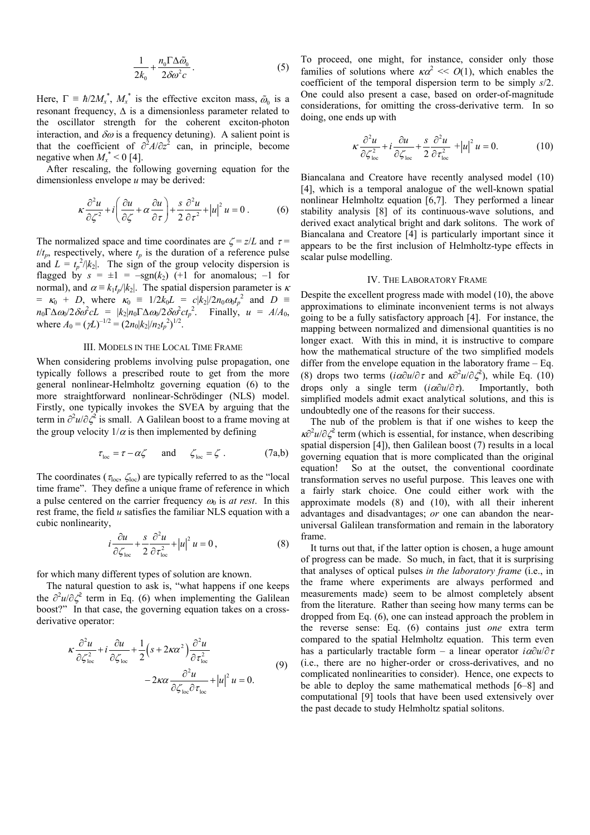$$
\frac{1}{2k_0} + \frac{n_0 \Gamma \Delta \tilde{\omega}_0}{2\delta \omega^2 c}.
$$
 (5)

Here,  $\Gamma = \hbar/2M_x^*$ ,  $M_x^*$  is the effective exciton mass,  $\tilde{\omega}_0$  is a resonant frequency,  $\Delta$  is a dimensionless parameter related to the oscillator strength for the coherent exciton-photon interaction, and  $\delta\omega$  is a frequency detuning). A salient point is that the coefficient of  $\partial^2 A/\partial z^2$  can, in principle, become negative when  $M_x^*$  < 0 [4].

 After rescaling, the following governing equation for the dimensionless envelope *u* may be derived:

$$
\kappa \frac{\partial^2 u}{\partial \zeta^2} + i \left( \frac{\partial u}{\partial \zeta} + \alpha \frac{\partial u}{\partial \tau} \right) + \frac{s}{2} \frac{\partial^2 u}{\partial \tau^2} + |u|^2 u = 0.
$$
 (6)

The normalized space and time coordinates are  $\zeta = z/L$  and  $\tau =$  $t/t_p$ , respectively, where  $t_p$  is the duration of a reference pulse and  $L = t_p^2/|k_2|$ . The sign of the group velocity dispersion is flagged by  $s = \pm 1 = -\text{sgn}(k_2)$  (+1 for anomalous; -1 for normal), and  $\alpha = k_1 t_p / |k_2|$ . The spatial dispersion parameter is  $\kappa$  $= \kappa_0 + D$ , where  $\kappa_0 = 1/2k_0L = c|k_2|/2n_0\omega_0t_p^2$  and  $D =$  $n_0 \Gamma \Delta \omega_0 / 2 \delta \omega^2 cL = |k_2| n_0 \Gamma \Delta \omega_0 / 2 \delta \omega^2 c t_p^2$ . Finally,  $u = A/A_0$ , where  $A_0 = (\gamma L)^{-1/2} = (2n_0/k_2!/n_2t_p^2)^{1/2}$ .

# III. MODELS IN THE LOCAL TIME FRAME

When considering problems involving pulse propagation, one typically follows a prescribed route to get from the more general nonlinear-Helmholtz governing equation (6) to the more straightforward nonlinear-Schrödinger (NLS) model. Firstly, one typically invokes the SVEA by arguing that the term in  $\partial^2 u / \partial \zeta^2$  is small. A Galilean boost to a frame moving at the group velocity  $1/\alpha$  is then implemented by defining

$$
\tau_{\text{loc}} = \tau - \alpha \zeta \quad \text{and} \quad \zeta_{\text{loc}} = \zeta . \tag{7a,b}
$$

The coordinates ( $\tau_{loc}$ ,  $\zeta_{loc}$ ) are typically referred to as the "local time frame". They define a unique frame of reference in which a pulse centered on the carrier frequency  $\omega_0$  is *at rest*. In this rest frame, the field *u* satisfies the familiar NLS equation with a cubic nonlinearity,

$$
i\frac{\partial u}{\partial \zeta_{\text{loc}}} + \frac{s}{2} \frac{\partial^2 u}{\partial \tau_{\text{loc}}^2} + |u|^2 u = 0, \qquad (8)
$$

for which many different types of solution are known.

The natural question to ask is, "what happens if one keeps the  $\partial^2 u / \partial \zeta^2$  term in Eq. (6) when implementing the Galilean boost?" In that case, the governing equation takes on a crossderivative operator:

$$
\kappa \frac{\partial^2 u}{\partial \zeta_{\text{loc}}^2} + i \frac{\partial u}{\partial \zeta_{\text{loc}}} + \frac{1}{2} \left( s + 2\kappa \alpha^2 \right) \frac{\partial^2 u}{\partial \tau_{\text{loc}}^2} - 2\kappa \alpha \frac{\partial^2 u}{\partial \zeta_{\text{loc}} \partial \tau_{\text{loc}}} + |u|^2 u = 0. \tag{9}
$$

To proceed, one might, for instance, consider only those families of solutions where  $\kappa \alpha^2 \ll O(1)$ , which enables the coefficient of the temporal dispersion term to be simply *s*/2. One could also present a case, based on order-of-magnitude considerations, for omitting the cross-derivative term. In so doing, one ends up with

$$
\kappa \frac{\partial^2 u}{\partial \zeta_{\text{loc}}^2} + i \frac{\partial u}{\partial \zeta_{\text{loc}}} + \frac{s}{2} \frac{\partial^2 u}{\partial \tau_{\text{loc}}^2} + |u|^2 u = 0. \tag{10}
$$

Biancalana and Creatore have recently analysed model (10) [4], which is a temporal analogue of the well-known spatial nonlinear Helmholtz equation [6,7]. They performed a linear stability analysis [8] of its continuous-wave solutions, and derived exact analytical bright and dark solitons. The work of Biancalana and Creatore [4] is particularly important since it appears to be the first inclusion of Helmholtz-type effects in scalar pulse modelling.

# IV. THE LABORATORY FRAME

Despite the excellent progress made with model (10), the above approximations to eliminate inconvenient terms is not always going to be a fully satisfactory approach [4]. For instance, the mapping between normalized and dimensional quantities is no longer exact. With this in mind, it is instructive to compare how the mathematical structure of the two simplified models differ from the envelope equation in the laboratory frame – Eq. (8) drops two terms ( $i\alpha\partial u/\partial \tau$  and  $\kappa\partial^2 u/\partial \zeta^2$ ), while Eq. (10) drops only a single term (*i*α∂*u*/∂τ). Importantly, both simplified models admit exact analytical solutions, and this is undoubtedly one of the reasons for their success.

The nub of the problem is that if one wishes to keep the  $\kappa \partial^2 u / \partial \zeta^2$  term (which is essential, for instance, when describing spatial dispersion [4]), then Galilean boost (7) results in a local governing equation that is more complicated than the original equation! So at the outset, the conventional coordinate transformation serves no useful purpose. This leaves one with a fairly stark choice. One could either work with the approximate models (8) and (10), with all their inherent advantages and disadvantages; *or* one can abandon the nearuniversal Galilean transformation and remain in the laboratory frame.

It turns out that, if the latter option is chosen, a huge amount of progress can be made. So much, in fact, that it is surprising that analyses of optical pulses *in the laboratory frame* (i.e., in the frame where experiments are always performed and measurements made) seem to be almost completely absent from the literature. Rather than seeing how many terms can be dropped from Eq. (6), one can instead approach the problem in the reverse sense: Eq. (6) contains just *one* extra term compared to the spatial Helmholtz equation. This term even has a particularly tractable form – a linear operator *i*α∂*u*/∂<sup>τ</sup> (i.e., there are no higher-order or cross-derivatives, and no complicated nonlinearities to consider). Hence, one expects to be able to deploy the same mathematical methods [6–8] and computational [9] tools that have been used extensively over the past decade to study Helmholtz spatial solitons.